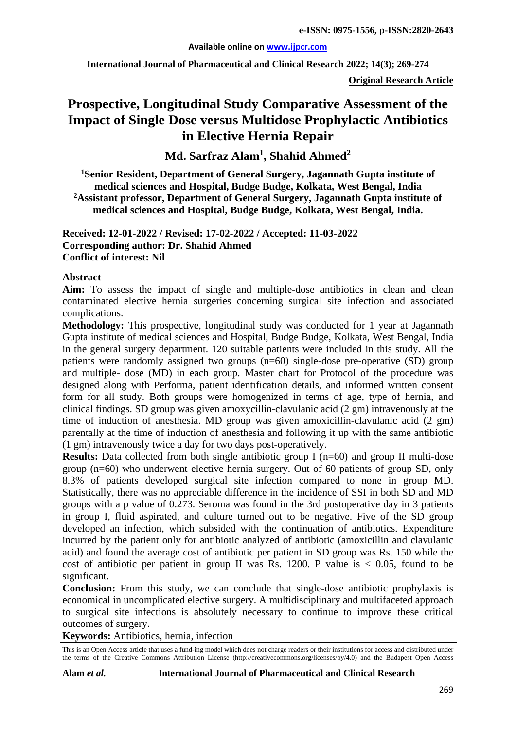#### **Available online on [www.ijpcr.com](http://www.ijpcr.com/)**

**International Journal of Pharmaceutical and Clinical Research 2022; 14(3); 269-274**

**Original Research Article**

# **Prospective, Longitudinal Study Comparative Assessment of the Impact of Single Dose versus Multidose Prophylactic Antibiotics in Elective Hernia Repair**

**Md. Sarfraz Alam1 , Shahid Ahmed<sup>2</sup>**

**1 Senior Resident, Department of General Surgery, Jagannath Gupta institute of medical sciences and Hospital, Budge Budge, Kolkata, West Bengal, India 2Assistant professor, Department of General Surgery, Jagannath Gupta institute of medical sciences and Hospital, Budge Budge, Kolkata, West Bengal, India.**

**Received: 12-01-2022 / Revised: 17-02-2022 / Accepted: 11-03-2022 Corresponding author: Dr. Shahid Ahmed Conflict of interest: Nil**

#### **Abstract**

**Aim:** To assess the impact of single and multiple-dose antibiotics in clean and clean contaminated elective hernia surgeries concerning surgical site infection and associated complications.

**Methodology:** This prospective, longitudinal study was conducted for 1 year at Jagannath Gupta institute of medical sciences and Hospital, Budge Budge, Kolkata, West Bengal, India in the general surgery department. 120 suitable patients were included in this study. All the patients were randomly assigned two groups (n=60) single-dose pre-operative (SD) group and multiple- dose (MD) in each group. Master chart for Protocol of the procedure was designed along with Performa, patient identification details, and informed written consent form for all study. Both groups were homogenized in terms of age, type of hernia, and clinical findings. SD group was given amoxycillin-clavulanic acid (2 gm) intravenously at the time of induction of anesthesia. MD group was given amoxicillin-clavulanic acid (2 gm) parentally at the time of induction of anesthesia and following it up with the same antibiotic (1 gm) intravenously twice a day for two days post-operatively.

**Results:** Data collected from both single antibiotic group I (n=60) and group II multi-dose group (n=60) who underwent elective hernia surgery. Out of 60 patients of group SD, only 8.3% of patients developed surgical site infection compared to none in group MD. Statistically, there was no appreciable difference in the incidence of SSI in both SD and MD groups with a p value of 0.273. Seroma was found in the 3rd postoperative day in 3 patients in group I, fluid aspirated, and culture turned out to be negative. Five of the SD group developed an infection, which subsided with the continuation of antibiotics. Expenditure incurred by the patient only for antibiotic analyzed of antibiotic (amoxicillin and clavulanic acid) and found the average cost of antibiotic per patient in SD group was Rs. 150 while the cost of antibiotic per patient in group II was Rs. 1200. P value is  $< 0.05$ , found to be significant.

**Conclusion:** From this study, we can conclude that single-dose antibiotic prophylaxis is economical in uncomplicated elective surgery. A multidisciplinary and multifaceted approach to surgical site infections is absolutely necessary to continue to improve these critical outcomes of surgery.

**Keywords:** Antibiotics, hernia, infection

This is an Open Access article that uses a fund-ing model which does not charge readers or their institutions for access and distributed under the terms of the Creative Commons Attribution License (http://creativecommons.org/licenses/by/4.0) and the Budapest Open Access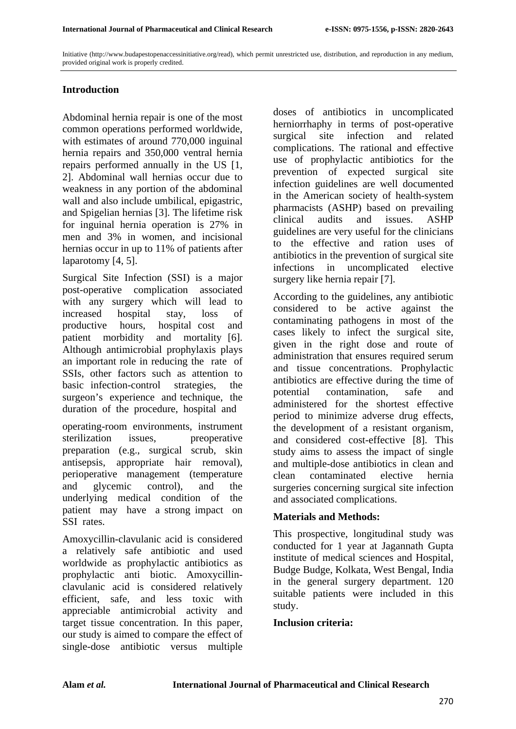Initiative (http://www.budapestopenaccessinitiative.org/read), which permit unrestricted use, distribution, and reproduction in any medium, provided original work is properly credited.

## **Introduction**

Abdominal hernia repair is one of the most common operations performed worldwide, with estimates of around 770,000 inguinal hernia repairs and 350,000 ventral hernia repairs performed annually in the US [1, 2]. Abdominal wall hernias occur due to weakness in any portion of the abdominal wall and also include umbilical, epigastric, and Spigelian hernias [3]. The lifetime risk for inguinal hernia operation is 27% in men and 3% in women, and incisional hernias occur in up to 11% of patients after laparotomy [4, 5].

Surgical Site Infection (SSI) is a major post-operative complication associated with any surgery which will lead to increased hospital stay, loss of productive hours, hospital cost and patient morbidity and mortality [6]. Although antimicrobial prophylaxis plays an important role in reducing the rate of SSIs, other factors such as attention to basic infection-control strategies, the surgeon's experience and technique, the duration of the procedure, hospital and

operating-room environments, instrument sterilization issues, preoperative preparation (e.g., surgical scrub, skin antisepsis, appropriate hair removal), perioperative management (temperature and glycemic control), and the underlying medical condition of the patient may have a strong impact on SSI rates.

Amoxycillin-clavulanic acid is considered a relatively safe antibiotic and used worldwide as prophylactic antibiotics as prophylactic anti biotic. Amoxycillinclavulanic acid is considered relatively efficient, safe, and less toxic with appreciable antimicrobial activity and target tissue concentration. In this paper, our study is aimed to compare the effect of single-dose antibiotic versus multiple

doses of antibiotics in uncomplicated herniorrhaphy in terms of post-operative surgical site infection and related complications. The rational and effective use of prophylactic antibiotics for the prevention of expected surgical site infection guidelines are well documented in the American society of health-system pharmacists (ASHP) based on prevailing clinical audits and issues. ASHP guidelines are very useful for the clinicians to the effective and ration uses of antibiotics in the prevention of surgical site infections in uncomplicated elective surgery like hernia repair [7].

According to the guidelines, any antibiotic considered to be active against the contaminating pathogens in most of the cases likely to infect the surgical site, given in the right dose and route of administration that ensures required serum and tissue concentrations. Prophylactic antibiotics are effective during the time of potential contamination, safe and administered for the shortest effective period to minimize adverse drug effects, the development of a resistant organism, and considered cost-effective [8]. This study aims to assess the impact of single and multiple-dose antibiotics in clean and clean contaminated elective hernia surgeries concerning surgical site infection and associated complications.

#### **Materials and Methods:**

This prospective, longitudinal study was conducted for 1 year at Jagannath Gupta institute of medical sciences and Hospital, Budge Budge, Kolkata, West Bengal, India in the general surgery department. 120 suitable patients were included in this study.

#### **Inclusion criteria:**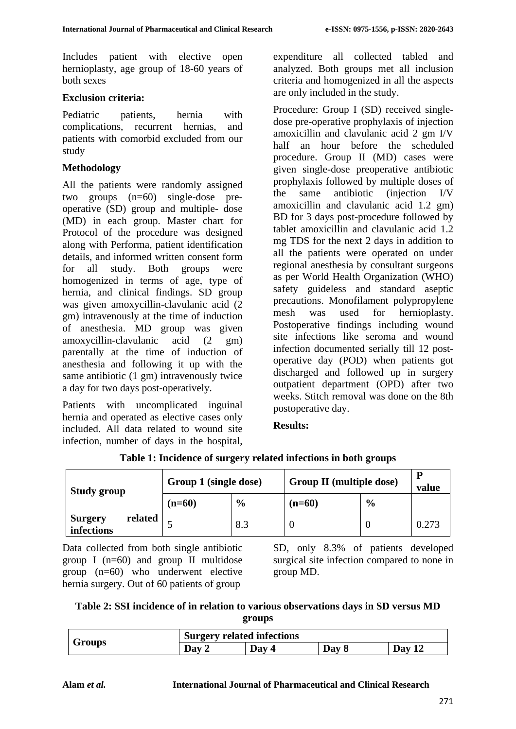Includes patient with elective open hernioplasty, age group of 18-60 years of both sexes

## **Exclusion criteria:**

Pediatric patients, hernia with complications, recurrent hernias, and patients with comorbid excluded from our study

## **Methodology**

All the patients were randomly assigned two groups (n=60) single-dose preoperative (SD) group and multiple- dose (MD) in each group. Master chart for Protocol of the procedure was designed along with Performa, patient identification details, and informed written consent form for all study. Both groups were homogenized in terms of age, type of hernia, and clinical findings. SD group was given amoxycillin-clavulanic acid (2 gm) intravenously at the time of induction of anesthesia. MD group was given amoxycillin-clavulanic acid (2 gm) parentally at the time of induction of anesthesia and following it up with the same antibiotic (1 gm) intravenously twice a day for two days post-operatively.

Patients with uncomplicated inguinal hernia and operated as elective cases only included. All data related to wound site infection, number of days in the hospital, expenditure all collected tabled and analyzed. Both groups met all inclusion criteria and homogenized in all the aspects are only included in the study.

Procedure: Group I (SD) received singledose pre-operative prophylaxis of injection amoxicillin and clavulanic acid 2 gm I/V half an hour before the scheduled procedure. Group II (MD) cases were given single-dose preoperative antibiotic prophylaxis followed by multiple doses of the same antibiotic (injection I/V amoxicillin and clavulanic acid 1.2 gm) BD for 3 days post-procedure followed by tablet amoxicillin and clavulanic acid 1.2 mg TDS for the next 2 days in addition to all the patients were operated on under regional anesthesia by consultant surgeons as per World Health Organization (WHO) safety guideless and standard aseptic precautions. Monofilament polypropylene mesh was used for hernioplasty. Postoperative findings including wound site infections like seroma and wound infection documented serially till 12 postoperative day (POD) when patients got discharged and followed up in surgery outpatient department (OPD) after two weeks. Stitch removal was done on the 8th postoperative day.

## **Results:**

| <b>Study group</b>                      | Group 1 (single dose) |               | <b>Group II (multiple dose)</b> |               | P<br>value |
|-----------------------------------------|-----------------------|---------------|---------------------------------|---------------|------------|
|                                         | $(n=60)$              | $\frac{6}{9}$ | $(n=60)$                        | $\frac{6}{9}$ |            |
| related<br><b>Surgery</b><br>infections |                       | 8.3           |                                 |               | 0.273      |

#### **Table 1: Incidence of surgery related infections in both groups**

Data collected from both single antibiotic group I ( $n=60$ ) and group II multidose group (n=60) who underwent elective hernia surgery. Out of 60 patients of group

SD, only 8.3% of patients developed surgical site infection compared to none in group MD.

| Table 2: SSI incidence of in relation to various observations days in SD versus MD |
|------------------------------------------------------------------------------------|
| groups                                                                             |

|        | <b>Surgery related infections</b> |       |       |     |  |
|--------|-----------------------------------|-------|-------|-----|--|
| Groups | Dav                               | Day 4 | Day 8 | Dav |  |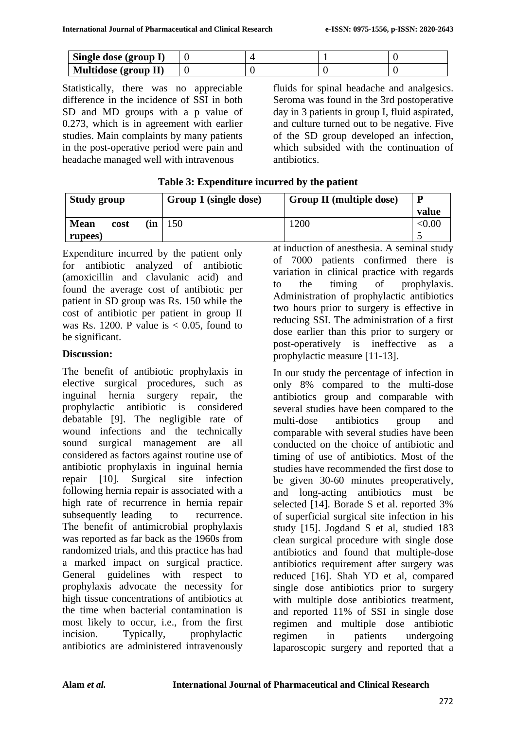| Single dose (group I)       |  |  |
|-----------------------------|--|--|
| <b>Multidose (group II)</b> |  |  |

Statistically, there was no appreciable difference in the incidence of SSI in both SD and MD groups with a p value of 0.273, which is in agreement with earlier studies. Main complaints by many patients in the post-operative period were pain and headache managed well with intravenous

fluids for spinal headache and analgesics. Seroma was found in the 3rd postoperative day in 3 patients in group I, fluid aspirated, and culture turned out to be negative. Five of the SD group developed an infection, which subsided with the continuation of antibiotics.

| <b>Study group</b>  |     | <b>Group II (multiple dose)</b><br>Group 1 (single dose) |      | P      |
|---------------------|-----|----------------------------------------------------------|------|--------|
|                     |     |                                                          |      | value  |
| <b>Mean</b><br>cost | (in | 150                                                      | 1200 | < 0.00 |
| rupees)             |     |                                                          |      |        |

**Table 3: Expenditure incurred by the patient**

Expenditure incurred by the patient only for antibiotic analyzed of antibiotic (amoxicillin and clavulanic acid) and found the average cost of antibiotic per patient in SD group was Rs. 150 while the cost of antibiotic per patient in group II was Rs. 1200. P value is  $< 0.05$ , found to be significant.

# **Discussion:**

The benefit of antibiotic prophylaxis in elective surgical procedures, such as inguinal hernia surgery repair, the prophylactic antibiotic is considered debatable [9]. The negligible rate of wound infections and the technically sound surgical management are all considered as factors against routine use of antibiotic prophylaxis in inguinal hernia repair [10]. Surgical site infection following hernia repair is associated with a high rate of recurrence in hernia repair subsequently leading to recurrence. The benefit of antimicrobial prophylaxis was reported as far back as the 1960s from randomized trials, and this practice has had a marked impact on surgical practice. General guidelines with respect to prophylaxis advocate the necessity for high tissue concentrations of antibiotics at the time when bacterial contamination is most likely to occur, i.e., from the first incision. Typically, prophylactic antibiotics are administered intravenously

at induction of anesthesia. A seminal study of 7000 patients confirmed there is variation in clinical practice with regards to the timing of prophylaxis. Administration of prophylactic antibiotics two hours prior to surgery is effective in reducing SSI. The administration of a first dose earlier than this prior to surgery or post-operatively is ineffective as a prophylactic measure [11-13].

In our study the percentage of infection in only 8% compared to the multi-dose antibiotics group and comparable with several studies have been compared to the multi-dose antibiotics group and comparable with several studies have been conducted on the choice of antibiotic and timing of use of antibiotics. Most of the studies have recommended the first dose to be given 30-60 minutes preoperatively, and long-acting antibiotics must be selected [14]. Borade S et al. reported 3% of superficial surgical site infection in his study [15]. Jogdand S et al, studied 183 clean surgical procedure with single dose antibiotics and found that multiple-dose antibiotics requirement after surgery was reduced [16]. Shah YD et al, compared single dose antibiotics prior to surgery with multiple dose antibiotics treatment, and reported 11% of SSI in single dose regimen and multiple dose antibiotic regimen in patients undergoing laparoscopic surgery and reported that a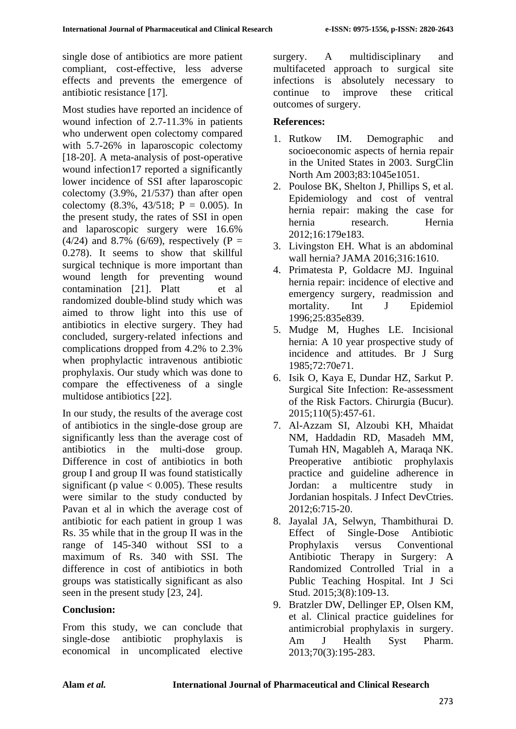single dose of antibiotics are more patient compliant, cost-effective, less adverse effects and prevents the emergence of antibiotic resistance [17].

Most studies have reported an incidence of wound infection of 2.7-11.3% in patients who underwent open colectomy compared with 5.7-26% in laparoscopic colectomy [18-20]. A meta-analysis of post-operative wound infection17 reported a significantly lower incidence of SSI after laparoscopic colectomy (3.9%, 21/537) than after open colectomy  $(8.3\% \, 43/518; \, P = 0.005)$ . In the present study, the rates of SSI in open and laparoscopic surgery were 16.6%  $(4/24)$  and 8.7% (6/69), respectively (P = 0.278). It seems to show that skillful surgical technique is more important than wound length for preventing wound contamination [21]. Platt et al randomized double-blind study which was aimed to throw light into this use of antibiotics in elective surgery. They had concluded, surgery-related infections and complications dropped from 4.2% to 2.3% when prophylactic intravenous antibiotic prophylaxis. Our study which was done to compare the effectiveness of a single multidose antibiotics [22].

In our study, the results of the average cost of antibiotics in the single-dose group are significantly less than the average cost of antibiotics in the multi-dose group. Difference in cost of antibiotics in both group I and group II was found statistically significant (p value  $< 0.005$ ). These results were similar to the study conducted by Pavan et al in which the average cost of antibiotic for each patient in group 1 was Rs. 35 while that in the group II was in the range of 145-340 without SSI to a maximum of Rs. 340 with SSI. The difference in cost of antibiotics in both groups was statistically significant as also seen in the present study [23, 24].

## **Conclusion:**

From this study, we can conclude that single-dose antibiotic prophylaxis is economical in uncomplicated elective surgery. A multidisciplinary and multifaceted approach to surgical site infections is absolutely necessary to continue to improve these critical outcomes of surgery.

## **References:**

- 1. Rutkow IM. Demographic and socioeconomic aspects of hernia repair in the United States in 2003. SurgClin North Am 2003;83:1045e1051.
- 2. Poulose BK, Shelton J, Phillips S, et al. Epidemiology and cost of ventral hernia repair: making the case for hernia research. Hernia 2012;16:179e183.
- 3. Livingston EH. What is an abdominal wall hernia? JAMA 2016;316:1610.
- 4. Primatesta P, Goldacre MJ. Inguinal hernia repair: incidence of elective and emergency surgery, readmission and mortality. Int J Epidemiol 1996;25:835e839.
- 5. Mudge M, Hughes LE. Incisional hernia: A 10 year prospective study of incidence and attitudes. Br J Surg 1985;72:70e71.
- 6. Isik O, Kaya E, Dundar HZ, Sarkut P. Surgical Site Infection: Re-assessment of the Risk Factors. Chirurgia (Bucur). 2015;110(5):457-61.
- 7. Al-Azzam SI, Alzoubi KH, Mhaidat NM, Haddadin RD, Masadeh MM, Tumah HN, Magableh A, Maraqa NK. Preoperative antibiotic prophylaxis practice and guideline adherence in Jordan: a multicentre study in Jordanian hospitals. J Infect DevCtries. 2012;6:715-20.
- 8. Jayalal JA, Selwyn, Thambithurai D. Effect of Single-Dose Antibiotic Prophylaxis versus Conventional Antibiotic Therapy in Surgery: A Randomized Controlled Trial in a Public Teaching Hospital. Int J Sci Stud. 2015;3(8):109-13.
- 9. Bratzler DW, Dellinger EP, Olsen KM, et al. Clinical practice guidelines for antimicrobial prophylaxis in surgery. Am J Health Syst Pharm. 2013;70(3):195-283.